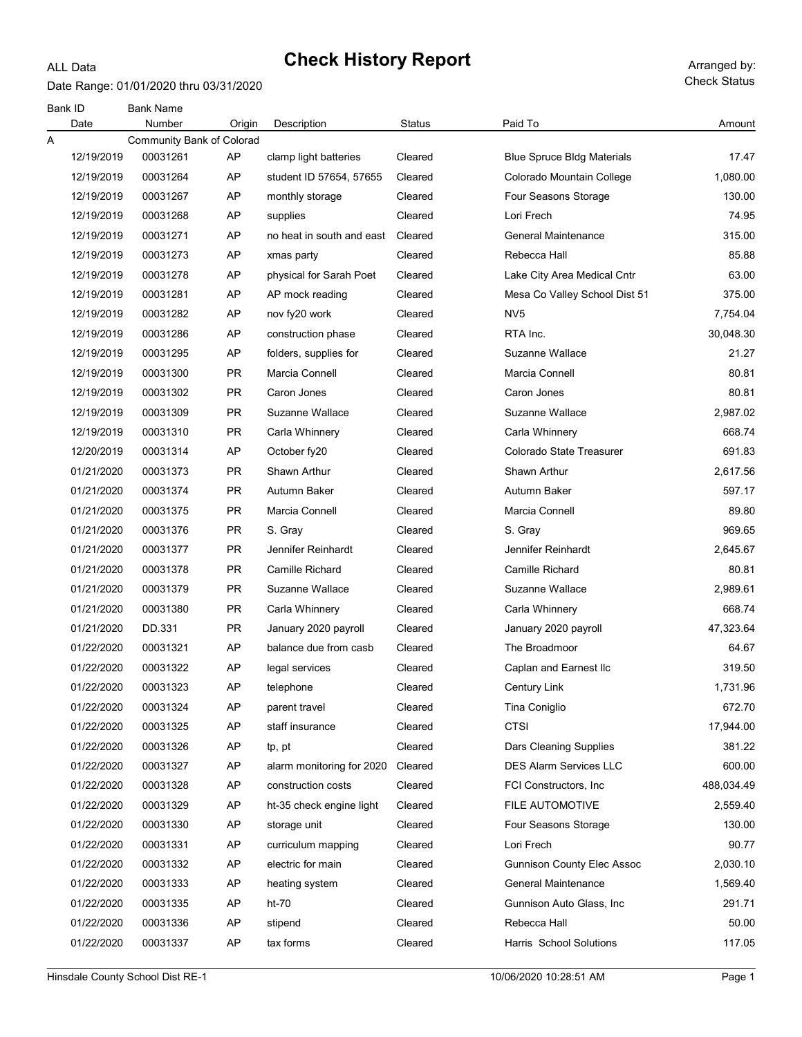#### Date Range: 01/01/2020 thru 03/31/2020

ALL Data

| Bank ID | Date       | <b>Bank Name</b><br>Number | Origin    | Description               | <b>Status</b> | Paid To                           | Amount     |
|---------|------------|----------------------------|-----------|---------------------------|---------------|-----------------------------------|------------|
| Α       |            | Community Bank of Colorad  |           |                           |               |                                   |            |
|         | 12/19/2019 | 00031261                   | AP        | clamp light batteries     | Cleared       | <b>Blue Spruce Bldg Materials</b> | 17.47      |
|         | 12/19/2019 | 00031264                   | AP        | student ID 57654, 57655   | Cleared       | Colorado Mountain College         | 1,080.00   |
|         | 12/19/2019 | 00031267                   | AP        | monthly storage           | Cleared       | Four Seasons Storage              | 130.00     |
|         | 12/19/2019 | 00031268                   | AP        | supplies                  | Cleared       | Lori Frech                        | 74.95      |
|         | 12/19/2019 | 00031271                   | AP        | no heat in south and east | Cleared       | <b>General Maintenance</b>        | 315.00     |
|         | 12/19/2019 | 00031273                   | AP        | xmas party                | Cleared       | Rebecca Hall                      | 85.88      |
|         | 12/19/2019 | 00031278                   | AP        | physical for Sarah Poet   | Cleared       | Lake City Area Medical Cntr       | 63.00      |
|         | 12/19/2019 | 00031281                   | AP        | AP mock reading           | Cleared       | Mesa Co Valley School Dist 51     | 375.00     |
|         | 12/19/2019 | 00031282                   | AP        | nov fy20 work             | Cleared       | NV <sub>5</sub>                   | 7,754.04   |
|         | 12/19/2019 | 00031286                   | AP        | construction phase        | Cleared       | RTA Inc.                          | 30,048.30  |
|         | 12/19/2019 | 00031295                   | AP        | folders, supplies for     | Cleared       | Suzanne Wallace                   | 21.27      |
|         | 12/19/2019 | 00031300                   | PR.       | Marcia Connell            | Cleared       | Marcia Connell                    | 80.81      |
|         | 12/19/2019 | 00031302                   | <b>PR</b> | Caron Jones               | Cleared       | Caron Jones                       | 80.81      |
|         | 12/19/2019 | 00031309                   | <b>PR</b> | Suzanne Wallace           | Cleared       | Suzanne Wallace                   | 2,987.02   |
|         | 12/19/2019 | 00031310                   | <b>PR</b> | Carla Whinnery            | Cleared       | Carla Whinnery                    | 668.74     |
|         | 12/20/2019 | 00031314                   | AP        | October fy20              | Cleared       | Colorado State Treasurer          | 691.83     |
|         | 01/21/2020 | 00031373                   | <b>PR</b> | Shawn Arthur              | Cleared       | Shawn Arthur                      | 2,617.56   |
|         | 01/21/2020 | 00031374                   | <b>PR</b> | Autumn Baker              | Cleared       | Autumn Baker                      | 597.17     |
|         | 01/21/2020 | 00031375                   | PR.       | Marcia Connell            | Cleared       | Marcia Connell                    | 89.80      |
|         | 01/21/2020 | 00031376                   | <b>PR</b> | S. Gray                   | Cleared       | S. Gray                           | 969.65     |
|         | 01/21/2020 | 00031377                   | PR.       | Jennifer Reinhardt        | Cleared       | Jennifer Reinhardt                | 2,645.67   |
|         | 01/21/2020 | 00031378                   | <b>PR</b> | Camille Richard           | Cleared       | Camille Richard                   | 80.81      |
|         | 01/21/2020 | 00031379                   | <b>PR</b> | Suzanne Wallace           | Cleared       | Suzanne Wallace                   | 2,989.61   |
|         | 01/21/2020 | 00031380                   | PR.       | Carla Whinnery            | Cleared       | Carla Whinnery                    | 668.74     |
|         | 01/21/2020 | DD.331                     | <b>PR</b> | January 2020 payroll      | Cleared       | January 2020 payroll              | 47,323.64  |
|         | 01/22/2020 | 00031321                   | AP        | balance due from casb     | Cleared       | The Broadmoor                     | 64.67      |
|         | 01/22/2020 | 00031322                   | AP        | legal services            | Cleared       | Caplan and Earnest Ilc            | 319.50     |
|         | 01/22/2020 | 00031323                   | AP        | telephone                 | Cleared       | <b>Century Link</b>               | 1,731.96   |
|         | 01/22/2020 | 00031324                   | AP        | parent travel             | Cleared       | Tina Coniglio                     | 672.70     |
|         | 01/22/2020 | 00031325                   | AP        | staff insurance           | Cleared       | <b>CTSI</b>                       | 17,944.00  |
|         | 01/22/2020 | 00031326                   | AP        | tp, pt                    | Cleared       | <b>Dars Cleaning Supplies</b>     | 381.22     |
|         | 01/22/2020 | 00031327                   | AP        | alarm monitoring for 2020 | Cleared       | <b>DES Alarm Services LLC</b>     | 600.00     |
|         | 01/22/2020 | 00031328                   | AP        | construction costs        | Cleared       | FCI Constructors, Inc.            | 488,034.49 |
|         | 01/22/2020 | 00031329                   | AP        | ht-35 check engine light  | Cleared       | <b>FILE AUTOMOTIVE</b>            | 2,559.40   |
|         | 01/22/2020 | 00031330                   | AP        | storage unit              | Cleared       | Four Seasons Storage              | 130.00     |
|         | 01/22/2020 | 00031331                   | AP        | curriculum mapping        | Cleared       | Lori Frech                        | 90.77      |
|         | 01/22/2020 | 00031332                   | AP        | electric for main         | Cleared       | <b>Gunnison County Elec Assoc</b> | 2,030.10   |
|         | 01/22/2020 | 00031333                   | AP        | heating system            | Cleared       | <b>General Maintenance</b>        | 1,569.40   |
|         | 01/22/2020 | 00031335                   | AP        | ht-70                     | Cleared       | Gunnison Auto Glass, Inc.         | 291.71     |
|         | 01/22/2020 | 00031336                   | AP        | stipend                   | Cleared       | Rebecca Hall                      | 50.00      |
|         | 01/22/2020 | 00031337                   | AP        | tax forms                 | Cleared       | Harris School Solutions           | 117.05     |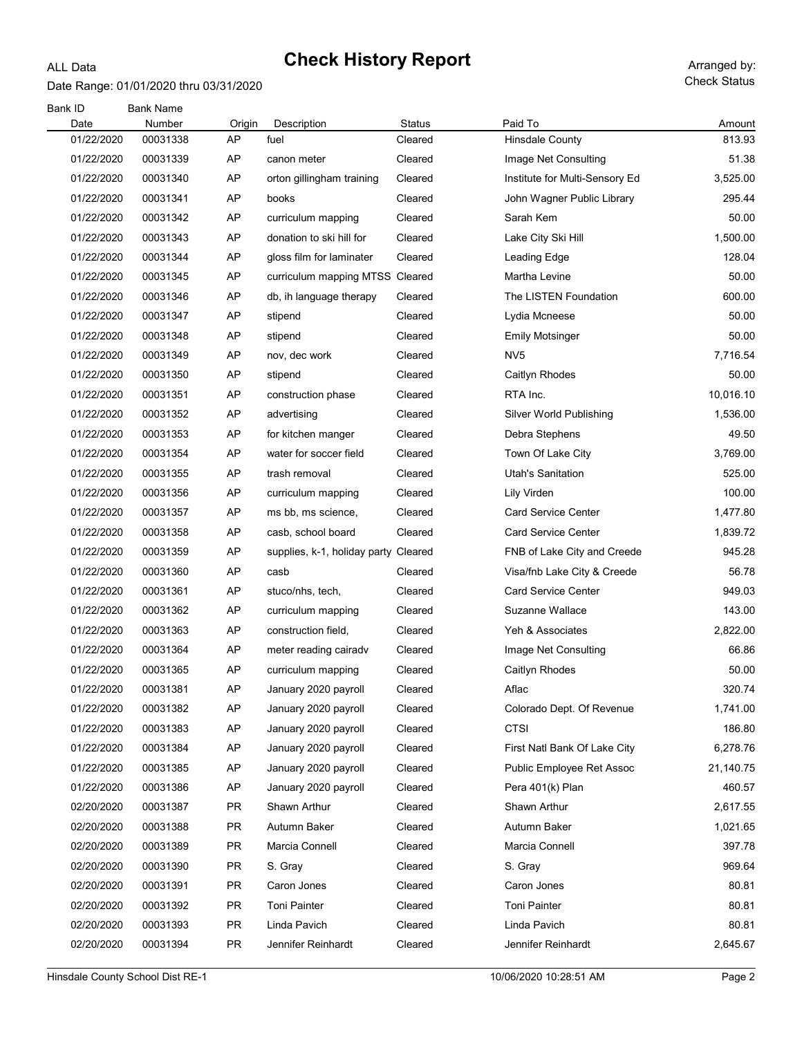#### Date Range: 01/01/2020 thru 03/31/2020

ALL Data

| Bank ID<br>Date | <b>Bank Name</b><br>Number | Origin    | Description                          | <b>Status</b> | Paid To                        | Amount    |
|-----------------|----------------------------|-----------|--------------------------------------|---------------|--------------------------------|-----------|
| 01/22/2020      | 00031338                   | AP        | fuel                                 | Cleared       | <b>Hinsdale County</b>         | 813.93    |
| 01/22/2020      | 00031339                   | AP        | canon meter                          | Cleared       | Image Net Consulting           | 51.38     |
| 01/22/2020      | 00031340                   | AP        | orton gillingham training            | Cleared       | Institute for Multi-Sensory Ed | 3,525.00  |
| 01/22/2020      | 00031341                   | AP        | books                                | Cleared       | John Wagner Public Library     | 295.44    |
| 01/22/2020      | 00031342                   | AP        | curriculum mapping                   | Cleared       | Sarah Kem                      | 50.00     |
| 01/22/2020      | 00031343                   | AP        | donation to ski hill for             | Cleared       | Lake City Ski Hill             | 1,500.00  |
| 01/22/2020      | 00031344                   | AP        | gloss film for laminater             | Cleared       | Leading Edge                   | 128.04    |
| 01/22/2020      | 00031345                   | AP        | curriculum mapping MTSS Cleared      |               | Martha Levine                  | 50.00     |
| 01/22/2020      | 00031346                   | AP        | db, ih language therapy              | Cleared       | The LISTEN Foundation          | 600.00    |
| 01/22/2020      | 00031347                   | AP        | stipend                              | Cleared       | Lydia Mcneese                  | 50.00     |
| 01/22/2020      | 00031348                   | AP        | stipend                              | Cleared       | <b>Emily Motsinger</b>         | 50.00     |
| 01/22/2020      | 00031349                   | AP        | nov, dec work                        | Cleared       | NV <sub>5</sub>                | 7,716.54  |
| 01/22/2020      | 00031350                   | AP        | stipend                              | Cleared       | Caitlyn Rhodes                 | 50.00     |
| 01/22/2020      | 00031351                   | AP        | construction phase                   | Cleared       | RTA Inc.                       | 10,016.10 |
| 01/22/2020      | 00031352                   | AP        | advertising                          | Cleared       | Silver World Publishing        | 1,536.00  |
| 01/22/2020      | 00031353                   | AP        | for kitchen manger                   | Cleared       | Debra Stephens                 | 49.50     |
| 01/22/2020      | 00031354                   | AP        | water for soccer field               | Cleared       | Town Of Lake City              | 3,769.00  |
| 01/22/2020      | 00031355                   | AP        | trash removal                        | Cleared       | Utah's Sanitation              | 525.00    |
| 01/22/2020      | 00031356                   | AP        | curriculum mapping                   | Cleared       | Lily Virden                    | 100.00    |
| 01/22/2020      | 00031357                   | AP        | ms bb, ms science,                   | Cleared       | <b>Card Service Center</b>     | 1,477.80  |
| 01/22/2020      | 00031358                   | AP        | casb, school board                   | Cleared       | <b>Card Service Center</b>     | 1,839.72  |
| 01/22/2020      | 00031359                   | AP        | supplies, k-1, holiday party Cleared |               | FNB of Lake City and Creede    | 945.28    |
| 01/22/2020      | 00031360                   | AP        | casb                                 | Cleared       | Visa/fnb Lake City & Creede    | 56.78     |
| 01/22/2020      | 00031361                   | AP        | stuco/nhs, tech,                     | Cleared       | <b>Card Service Center</b>     | 949.03    |
| 01/22/2020      | 00031362                   | AP        | curriculum mapping                   | Cleared       | Suzanne Wallace                | 143.00    |
| 01/22/2020      | 00031363                   | AP        | construction field,                  | Cleared       | Yeh & Associates               | 2,822.00  |
| 01/22/2020      | 00031364                   | AP        | meter reading cairadv                | Cleared       | Image Net Consulting           | 66.86     |
| 01/22/2020      | 00031365                   | AP        | curriculum mapping                   | Cleared       | Caitlyn Rhodes                 | 50.00     |
| 01/22/2020      | 00031381                   | <b>AP</b> | January 2020 payroll                 | Cleared       | Aflac                          | 320.74    |
| 01/22/2020      | 00031382                   | AP        | January 2020 payroll                 | Cleared       | Colorado Dept. Of Revenue      | 1,741.00  |
| 01/22/2020      | 00031383                   | AP        | January 2020 payroll                 | Cleared       | <b>CTSI</b>                    | 186.80    |
| 01/22/2020      | 00031384                   | AP        | January 2020 payroll                 | Cleared       | First Natl Bank Of Lake City   | 6,278.76  |
| 01/22/2020      | 00031385                   | AP        | January 2020 payroll                 | Cleared       | Public Employee Ret Assoc      | 21,140.75 |
| 01/22/2020      | 00031386                   | AP        | January 2020 payroll                 | Cleared       | Pera 401(k) Plan               | 460.57    |
| 02/20/2020      | 00031387                   | <b>PR</b> | Shawn Arthur                         | Cleared       | Shawn Arthur                   | 2,617.55  |
| 02/20/2020      | 00031388                   | <b>PR</b> | Autumn Baker                         | Cleared       | Autumn Baker                   | 1,021.65  |
| 02/20/2020      | 00031389                   | <b>PR</b> | Marcia Connell                       | Cleared       | Marcia Connell                 | 397.78    |
| 02/20/2020      | 00031390                   | <b>PR</b> | S. Gray                              | Cleared       | S. Gray                        | 969.64    |
| 02/20/2020      | 00031391                   | <b>PR</b> | Caron Jones                          | Cleared       | Caron Jones                    | 80.81     |
| 02/20/2020      | 00031392                   | <b>PR</b> | <b>Toni Painter</b>                  | Cleared       | <b>Toni Painter</b>            | 80.81     |
| 02/20/2020      | 00031393                   | <b>PR</b> | Linda Pavich                         | Cleared       | Linda Pavich                   | 80.81     |
| 02/20/2020      | 00031394                   | <b>PR</b> | Jennifer Reinhardt                   | Cleared       | Jennifer Reinhardt             | 2,645.67  |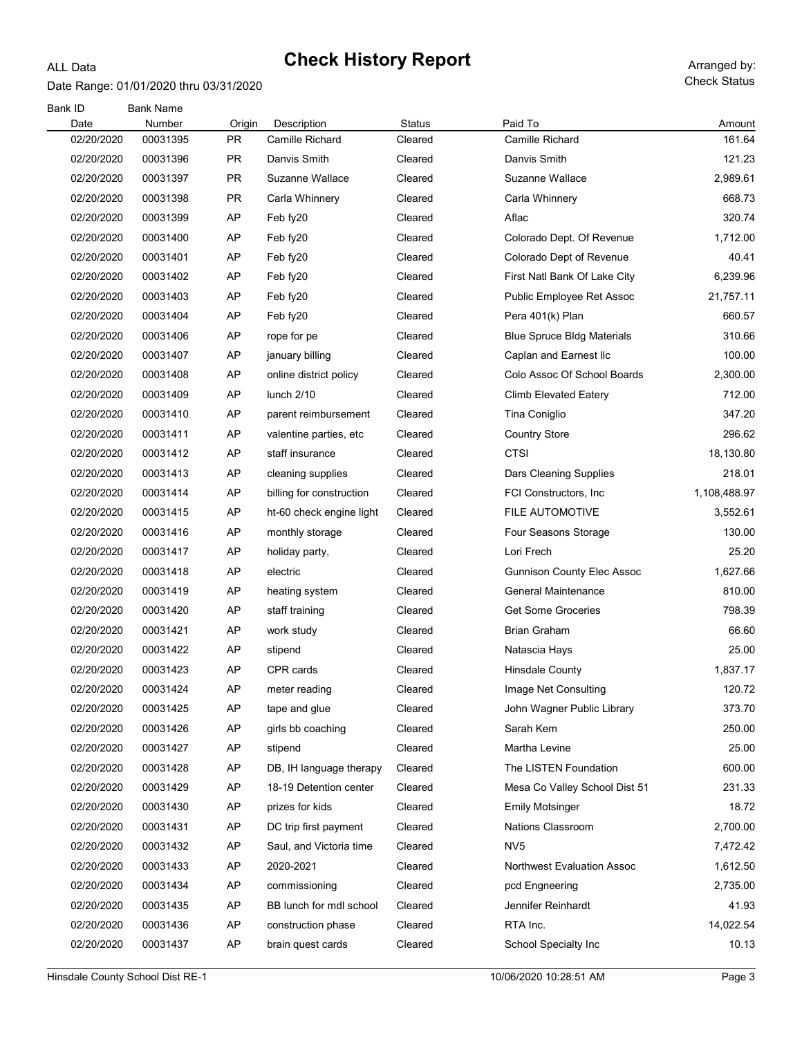#### Date Range: 01/01/2020 thru 03/31/2020

ALL Data

| Bank ID            | <b>Bank Name</b>   |                     |                                |                   |                                   |                  |
|--------------------|--------------------|---------------------|--------------------------------|-------------------|-----------------------------------|------------------|
| Date<br>02/20/2020 | Number<br>00031395 | Origin<br><b>PR</b> | Description<br>Camille Richard | Status<br>Cleared | Paid To<br><b>Camille Richard</b> | Amount<br>161.64 |
| 02/20/2020         | 00031396           | <b>PR</b>           | Danvis Smith                   | Cleared           | Danvis Smith                      | 121.23           |
| 02/20/2020         | 00031397           | <b>PR</b>           | Suzanne Wallace                | Cleared           | Suzanne Wallace                   | 2,989.61         |
| 02/20/2020         | 00031398           | <b>PR</b>           | Carla Whinnery                 | Cleared           | Carla Whinnery                    | 668.73           |
| 02/20/2020         | 00031399           | AP                  | Feb fy20                       | Cleared           | Aflac                             | 320.74           |
| 02/20/2020         | 00031400           | AP                  | Feb fy20                       | Cleared           | Colorado Dept. Of Revenue         | 1,712.00         |
| 02/20/2020         | 00031401           | AP                  | Feb fy20                       | Cleared           | Colorado Dept of Revenue          | 40.41            |
| 02/20/2020         |                    | AP                  | Feb fy20                       |                   |                                   | 6,239.96         |
|                    | 00031402           |                     |                                | Cleared           | First Natl Bank Of Lake City      |                  |
| 02/20/2020         | 00031403           | AP                  | Feb fy20                       | Cleared           | Public Employee Ret Assoc         | 21,757.11        |
| 02/20/2020         | 00031404           | AP                  | Feb fy20                       | Cleared           | Pera 401(k) Plan                  | 660.57           |
| 02/20/2020         | 00031406           | AP                  | rope for pe                    | Cleared           | <b>Blue Spruce Bldg Materials</b> | 310.66           |
| 02/20/2020         | 00031407           | AP                  | january billing                | Cleared           | Caplan and Earnest Ilc            | 100.00           |
| 02/20/2020         | 00031408           | AP                  | online district policy         | Cleared           | Colo Assoc Of School Boards       | 2,300.00         |
| 02/20/2020         | 00031409           | AP                  | lunch $2/10$                   | Cleared           | <b>Climb Elevated Eatery</b>      | 712.00           |
| 02/20/2020         | 00031410           | AP                  | parent reimbursement           | Cleared           | Tina Coniglio                     | 347.20           |
| 02/20/2020         | 00031411           | AP                  | valentine parties, etc.        | Cleared           | <b>Country Store</b>              | 296.62           |
| 02/20/2020         | 00031412           | AP                  | staff insurance                | Cleared           | <b>CTSI</b>                       | 18,130.80        |
| 02/20/2020         | 00031413           | AP                  | cleaning supplies              | Cleared           | <b>Dars Cleaning Supplies</b>     | 218.01           |
| 02/20/2020         | 00031414           | AP                  | billing for construction       | Cleared           | FCI Constructors, Inc.            | 1,108,488.97     |
| 02/20/2020         | 00031415           | AP                  | ht-60 check engine light       | Cleared           | <b>FILE AUTOMOTIVE</b>            | 3,552.61         |
| 02/20/2020         | 00031416           | AP                  | monthly storage                | Cleared           | Four Seasons Storage              | 130.00           |
| 02/20/2020         | 00031417           | AP                  | holiday party,                 | Cleared           | Lori Frech                        | 25.20            |
| 02/20/2020         | 00031418           | AP                  | electric                       | Cleared           | <b>Gunnison County Elec Assoc</b> | 1,627.66         |
| 02/20/2020         | 00031419           | AP                  | heating system                 | Cleared           | General Maintenance               | 810.00           |
| 02/20/2020         | 00031420           | AP                  | staff training                 | Cleared           | <b>Get Some Groceries</b>         | 798.39           |
| 02/20/2020         | 00031421           | AP                  | work study                     | Cleared           | <b>Brian Graham</b>               | 66.60            |
| 02/20/2020         | 00031422           | AP                  | stipend                        | Cleared           | Natascia Hays                     | 25.00            |
| 02/20/2020         | 00031423           | AP                  | CPR cards                      | Cleared           | <b>Hinsdale County</b>            | 1,837.17         |
| 02/20/2020         | 00031424           | AP                  | meter reading                  | Cleared           | Image Net Consulting              | 120.72           |
| 02/20/2020         | 00031425           | AP                  | tape and glue                  | Cleared           | John Wagner Public Library        | 373.70           |
| 02/20/2020         | 00031426           | AP                  | girls bb coaching              | Cleared           | Sarah Kem                         | 250.00           |
| 02/20/2020         | 00031427           | AP                  | stipend                        | Cleared           | Martha Levine                     | 25.00            |
| 02/20/2020         | 00031428           | AP                  | DB, IH language therapy        | Cleared           | The LISTEN Foundation             | 600.00           |
| 02/20/2020         | 00031429           | AP                  | 18-19 Detention center         | Cleared           | Mesa Co Valley School Dist 51     | 231.33           |
| 02/20/2020         | 00031430           | AP                  | prizes for kids                | Cleared           | <b>Emily Motsinger</b>            | 18.72            |
| 02/20/2020         | 00031431           | AP                  | DC trip first payment          | Cleared           | Nations Classroom                 | 2,700.00         |
| 02/20/2020         | 00031432           | AP                  | Saul, and Victoria time        | Cleared           | NV <sub>5</sub>                   | 7,472.42         |
| 02/20/2020         | 00031433           | AP                  | 2020-2021                      | Cleared           | Northwest Evaluation Assoc        | 1,612.50         |
| 02/20/2020         | 00031434           | AP                  | commissioning                  | Cleared           | pcd Engneering                    | 2,735.00         |
| 02/20/2020         | 00031435           | AP                  | BB lunch for mdl school        | Cleared           | Jennifer Reinhardt                | 41.93            |
| 02/20/2020         | 00031436           | AP                  | construction phase             | Cleared           | RTA Inc.                          | 14,022.54        |
| 02/20/2020         | 00031437           | AP                  | brain quest cards              | Cleared           | School Specialty Inc              | 10.13            |
|                    |                    |                     |                                |                   |                                   |                  |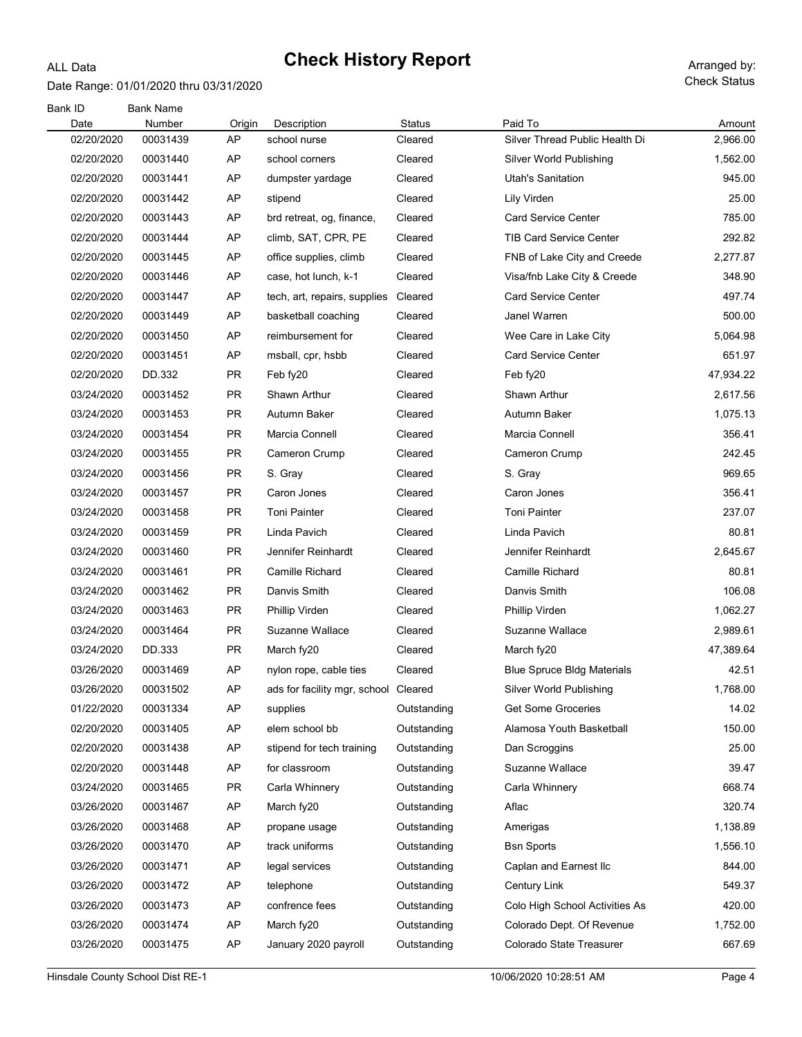### Date Range: 01/01/2020 thru 03/31/2020

ALL Data

| Bank ID                                                            | <b>Bank Name</b>                                         |                            |                                                                                     |                                                                         |                                                                                                                                   |                                                  |
|--------------------------------------------------------------------|----------------------------------------------------------|----------------------------|-------------------------------------------------------------------------------------|-------------------------------------------------------------------------|-----------------------------------------------------------------------------------------------------------------------------------|--------------------------------------------------|
| Date                                                               | Number                                                   | Origin<br>AP               | Description                                                                         | <b>Status</b>                                                           | Paid To                                                                                                                           | Amount                                           |
| 02/20/2020                                                         | 00031439                                                 | AP                         | school nurse                                                                        | Cleared                                                                 | Silver Thread Public Health Di<br>Silver World Publishing                                                                         | 2,966.00<br>1,562.00                             |
| 02/20/2020                                                         | 00031440                                                 | AP                         | school corners                                                                      | Cleared                                                                 | <b>Utah's Sanitation</b>                                                                                                          | 945.00                                           |
| 02/20/2020                                                         | 00031441                                                 |                            | dumpster yardage                                                                    | Cleared                                                                 |                                                                                                                                   |                                                  |
| 02/20/2020                                                         | 00031442                                                 | AP                         | stipend                                                                             | Cleared                                                                 | Lily Virden                                                                                                                       | 25.00                                            |
| 02/20/2020                                                         | 00031443                                                 | AP                         | brd retreat, og, finance,                                                           | Cleared                                                                 | <b>Card Service Center</b>                                                                                                        | 785.00                                           |
| 02/20/2020                                                         | 00031444                                                 | AP                         | climb, SAT, CPR, PE                                                                 | Cleared                                                                 | <b>TIB Card Service Center</b>                                                                                                    | 292.82                                           |
| 02/20/2020                                                         | 00031445                                                 | AP                         | office supplies, climb                                                              | Cleared                                                                 | FNB of Lake City and Creede                                                                                                       | 2,277.87                                         |
| 02/20/2020                                                         | 00031446                                                 | AP                         | case, hot lunch, k-1                                                                | Cleared                                                                 | Visa/fnb Lake City & Creede                                                                                                       | 348.90                                           |
| 02/20/2020                                                         | 00031447                                                 | AP                         | tech, art, repairs, supplies                                                        | Cleared                                                                 | <b>Card Service Center</b>                                                                                                        | 497.74                                           |
| 02/20/2020                                                         | 00031449                                                 | AP                         | basketball coaching                                                                 | Cleared                                                                 | Janel Warren                                                                                                                      | 500.00                                           |
| 02/20/2020                                                         | 00031450                                                 | AP                         | reimbursement for                                                                   | Cleared                                                                 | Wee Care in Lake City                                                                                                             | 5,064.98                                         |
| 02/20/2020                                                         | 00031451                                                 | AP                         | msball, cpr, hsbb                                                                   | Cleared                                                                 | <b>Card Service Center</b>                                                                                                        | 651.97                                           |
| 02/20/2020                                                         | DD.332                                                   | PR                         | Feb fy20                                                                            | Cleared                                                                 | Feb fy20                                                                                                                          | 47,934.22                                        |
| 03/24/2020                                                         | 00031452                                                 | <b>PR</b>                  | Shawn Arthur                                                                        | Cleared                                                                 | Shawn Arthur                                                                                                                      | 2,617.56                                         |
| 03/24/2020                                                         | 00031453                                                 | <b>PR</b>                  | Autumn Baker                                                                        | Cleared                                                                 | Autumn Baker                                                                                                                      | 1,075.13                                         |
| 03/24/2020                                                         | 00031454                                                 | PR                         | Marcia Connell                                                                      | Cleared                                                                 | Marcia Connell                                                                                                                    | 356.41                                           |
| 03/24/2020                                                         | 00031455                                                 | <b>PR</b>                  | Cameron Crump                                                                       | Cleared                                                                 | Cameron Crump                                                                                                                     | 242.45                                           |
| 03/24/2020                                                         | 00031456                                                 | PR                         | S. Gray                                                                             | Cleared                                                                 | S. Gray                                                                                                                           | 969.65                                           |
| 03/24/2020                                                         | 00031457                                                 | <b>PR</b>                  | Caron Jones                                                                         | Cleared                                                                 | Caron Jones                                                                                                                       | 356.41                                           |
| 03/24/2020                                                         | 00031458                                                 | PR                         | <b>Toni Painter</b>                                                                 | Cleared                                                                 | Toni Painter                                                                                                                      | 237.07                                           |
| 03/24/2020                                                         | 00031459                                                 | <b>PR</b>                  | Linda Pavich                                                                        | Cleared                                                                 | Linda Pavich                                                                                                                      | 80.81                                            |
| 03/24/2020                                                         | 00031460                                                 | <b>PR</b>                  | Jennifer Reinhardt                                                                  | Cleared                                                                 | Jennifer Reinhardt                                                                                                                | 2,645.67                                         |
| 03/24/2020                                                         | 00031461                                                 | PR                         | Camille Richard                                                                     | Cleared                                                                 | Camille Richard                                                                                                                   | 80.81                                            |
| 03/24/2020                                                         | 00031462                                                 | PR                         | Danvis Smith                                                                        | Cleared                                                                 | Danvis Smith                                                                                                                      | 106.08                                           |
| 03/24/2020                                                         | 00031463                                                 | PR                         | <b>Phillip Virden</b>                                                               | Cleared                                                                 | Phillip Virden                                                                                                                    | 1,062.27                                         |
| 03/24/2020                                                         | 00031464                                                 | <b>PR</b>                  | Suzanne Wallace                                                                     | Cleared                                                                 | Suzanne Wallace                                                                                                                   | 2,989.61                                         |
| 03/24/2020                                                         | DD.333                                                   | PR                         | March fy20                                                                          | Cleared                                                                 | March fy20                                                                                                                        | 47,389.64                                        |
| 03/26/2020                                                         | 00031469                                                 | AP                         | nylon rope, cable ties                                                              | Cleared                                                                 | <b>Blue Spruce Bldg Materials</b>                                                                                                 | 42.51                                            |
| 03/26/2020                                                         | 00031502                                                 | AP                         | ads for facility mgr, school Cleared                                                |                                                                         | Silver World Publishing                                                                                                           | 1,768.00                                         |
| 01/22/2020                                                         | 00031334                                                 | AP                         | supplies                                                                            | Outstanding                                                             | <b>Get Some Groceries</b>                                                                                                         | 14.02                                            |
| 02/20/2020                                                         | 00031405                                                 | AP                         | elem school bb                                                                      | Outstanding                                                             | Alamosa Youth Basketball                                                                                                          | 150.00                                           |
| 02/20/2020                                                         | 00031438                                                 | AP                         | stipend for tech training                                                           | Outstanding                                                             | Dan Scroggins                                                                                                                     | 25.00                                            |
| 02/20/2020                                                         | 00031448                                                 | AP                         | for classroom                                                                       | Outstanding                                                             | Suzanne Wallace                                                                                                                   | 39.47                                            |
| 03/24/2020                                                         | 00031465                                                 | PR                         | Carla Whinnery                                                                      | Outstanding                                                             | Carla Whinnery                                                                                                                    | 668.74                                           |
| 03/26/2020                                                         | 00031467                                                 | AP                         | March fy20                                                                          | Outstanding                                                             | Aflac                                                                                                                             | 320.74                                           |
| 03/26/2020                                                         | 00031468                                                 | AP                         | propane usage                                                                       | Outstanding                                                             | Amerigas                                                                                                                          | 1,138.89                                         |
| 03/26/2020                                                         | 00031470                                                 | AP                         | track uniforms                                                                      | Outstanding                                                             | <b>Bsn Sports</b>                                                                                                                 | 1,556.10                                         |
|                                                                    |                                                          |                            |                                                                                     |                                                                         |                                                                                                                                   |                                                  |
|                                                                    |                                                          |                            |                                                                                     |                                                                         |                                                                                                                                   |                                                  |
|                                                                    |                                                          |                            |                                                                                     |                                                                         |                                                                                                                                   |                                                  |
|                                                                    |                                                          |                            |                                                                                     |                                                                         |                                                                                                                                   |                                                  |
|                                                                    |                                                          |                            |                                                                                     |                                                                         |                                                                                                                                   |                                                  |
| 03/26/2020<br>03/26/2020<br>03/26/2020<br>03/26/2020<br>03/26/2020 | 00031471<br>00031472<br>00031473<br>00031474<br>00031475 | AP<br>AP<br>AP<br>AP<br>AP | legal services<br>telephone<br>confrence fees<br>March fy20<br>January 2020 payroll | Outstanding<br>Outstanding<br>Outstanding<br>Outstanding<br>Outstanding | Caplan and Earnest Ilc<br>Century Link<br>Colo High School Activities As<br>Colorado Dept. Of Revenue<br>Colorado State Treasurer | 844.00<br>549.37<br>420.00<br>1,752.00<br>667.69 |